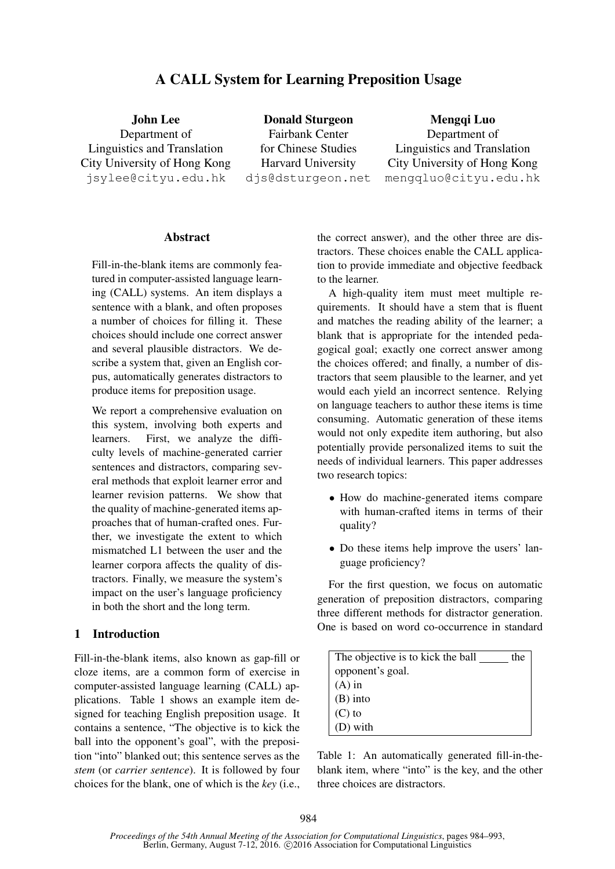# A CALL System for Learning Preposition Usage

John Lee Department of Linguistics and Translation City University of Hong Kong jsylee@cityu.edu.hk Donald Sturgeon Fairbank Center for Chinese Studies Harvard University djs@dsturgeon.net

Mengqi Luo Department of Linguistics and Translation City University of Hong Kong mengqluo@cityu.edu.hk

# **Abstract**

Fill-in-the-blank items are commonly featured in computer-assisted language learning (CALL) systems. An item displays a sentence with a blank, and often proposes a number of choices for filling it. These choices should include one correct answer and several plausible distractors. We describe a system that, given an English corpus, automatically generates distractors to produce items for preposition usage.

We report a comprehensive evaluation on this system, involving both experts and learners. First, we analyze the difficulty levels of machine-generated carrier sentences and distractors, comparing several methods that exploit learner error and learner revision patterns. We show that the quality of machine-generated items approaches that of human-crafted ones. Further, we investigate the extent to which mismatched L1 between the user and the learner corpora affects the quality of distractors. Finally, we measure the system's impact on the user's language proficiency in both the short and the long term.

### 1 Introduction

Fill-in-the-blank items, also known as gap-fill or cloze items, are a common form of exercise in computer-assisted language learning (CALL) applications. Table 1 shows an example item designed for teaching English preposition usage. It contains a sentence, "The objective is to kick the ball into the opponent's goal", with the preposition "into" blanked out; this sentence serves as the *stem* (or *carrier sentence*). It is followed by four choices for the blank, one of which is the *key* (i.e., the correct answer), and the other three are distractors. These choices enable the CALL application to provide immediate and objective feedback to the learner.

A high-quality item must meet multiple requirements. It should have a stem that is fluent and matches the reading ability of the learner; a blank that is appropriate for the intended pedagogical goal; exactly one correct answer among the choices offered; and finally, a number of distractors that seem plausible to the learner, and yet would each yield an incorrect sentence. Relying on language teachers to author these items is time consuming. Automatic generation of these items would not only expedite item authoring, but also potentially provide personalized items to suit the needs of individual learners. This paper addresses two research topics:

- How do machine-generated items compare with human-crafted items in terms of their quality?
- Do these items help improve the users' language proficiency?

For the first question, we focus on automatic generation of preposition distractors, comparing three different methods for distractor generation. One is based on word co-occurrence in standard

| The objective is to kick the ball | the |
|-----------------------------------|-----|
| opponent's goal.                  |     |
| $(A)$ in                          |     |
| $(B)$ into                        |     |
| $(C)$ to                          |     |
| (D) with                          |     |

Table 1: An automatically generated fill-in-theblank item, where "into" is the key, and the other three choices are distractors.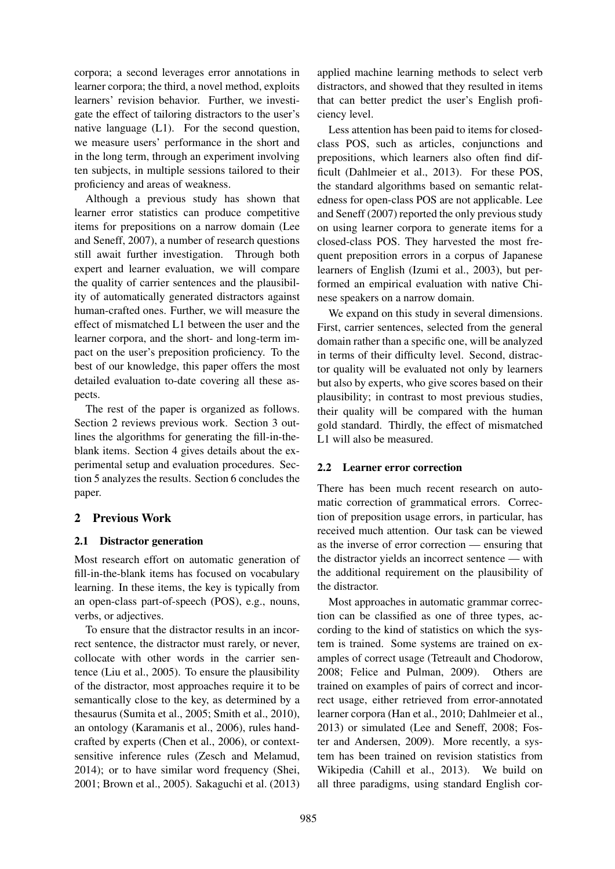corpora; a second leverages error annotations in learner corpora; the third, a novel method, exploits learners' revision behavior. Further, we investigate the effect of tailoring distractors to the user's native language (L1). For the second question, we measure users' performance in the short and in the long term, through an experiment involving ten subjects, in multiple sessions tailored to their proficiency and areas of weakness.

Although a previous study has shown that learner error statistics can produce competitive items for prepositions on a narrow domain (Lee and Seneff, 2007), a number of research questions still await further investigation. Through both expert and learner evaluation, we will compare the quality of carrier sentences and the plausibility of automatically generated distractors against human-crafted ones. Further, we will measure the effect of mismatched L1 between the user and the learner corpora, and the short- and long-term impact on the user's preposition proficiency. To the best of our knowledge, this paper offers the most detailed evaluation to-date covering all these aspects.

The rest of the paper is organized as follows. Section 2 reviews previous work. Section 3 outlines the algorithms for generating the fill-in-theblank items. Section 4 gives details about the experimental setup and evaluation procedures. Section 5 analyzes the results. Section 6 concludes the paper.

# 2 Previous Work

# 2.1 Distractor generation

Most research effort on automatic generation of fill-in-the-blank items has focused on vocabulary learning. In these items, the key is typically from an open-class part-of-speech (POS), e.g., nouns, verbs, or adjectives.

To ensure that the distractor results in an incorrect sentence, the distractor must rarely, or never, collocate with other words in the carrier sentence (Liu et al., 2005). To ensure the plausibility of the distractor, most approaches require it to be semantically close to the key, as determined by a thesaurus (Sumita et al., 2005; Smith et al., 2010), an ontology (Karamanis et al., 2006), rules handcrafted by experts (Chen et al., 2006), or contextsensitive inference rules (Zesch and Melamud, 2014); or to have similar word frequency (Shei, 2001; Brown et al., 2005). Sakaguchi et al. (2013)

applied machine learning methods to select verb distractors, and showed that they resulted in items that can better predict the user's English proficiency level.

Less attention has been paid to items for closedclass POS, such as articles, conjunctions and prepositions, which learners also often find difficult (Dahlmeier et al., 2013). For these POS, the standard algorithms based on semantic relatedness for open-class POS are not applicable. Lee and Seneff (2007) reported the only previous study on using learner corpora to generate items for a closed-class POS. They harvested the most frequent preposition errors in a corpus of Japanese learners of English (Izumi et al., 2003), but performed an empirical evaluation with native Chinese speakers on a narrow domain.

We expand on this study in several dimensions. First, carrier sentences, selected from the general domain rather than a specific one, will be analyzed in terms of their difficulty level. Second, distractor quality will be evaluated not only by learners but also by experts, who give scores based on their plausibility; in contrast to most previous studies, their quality will be compared with the human gold standard. Thirdly, the effect of mismatched L1 will also be measured.

# 2.2 Learner error correction

There has been much recent research on automatic correction of grammatical errors. Correction of preposition usage errors, in particular, has received much attention. Our task can be viewed as the inverse of error correction — ensuring that the distractor yields an incorrect sentence — with the additional requirement on the plausibility of the distractor.

Most approaches in automatic grammar correction can be classified as one of three types, according to the kind of statistics on which the system is trained. Some systems are trained on examples of correct usage (Tetreault and Chodorow, 2008; Felice and Pulman, 2009). Others are trained on examples of pairs of correct and incorrect usage, either retrieved from error-annotated learner corpora (Han et al., 2010; Dahlmeier et al., 2013) or simulated (Lee and Seneff, 2008; Foster and Andersen, 2009). More recently, a system has been trained on revision statistics from Wikipedia (Cahill et al., 2013). We build on all three paradigms, using standard English cor-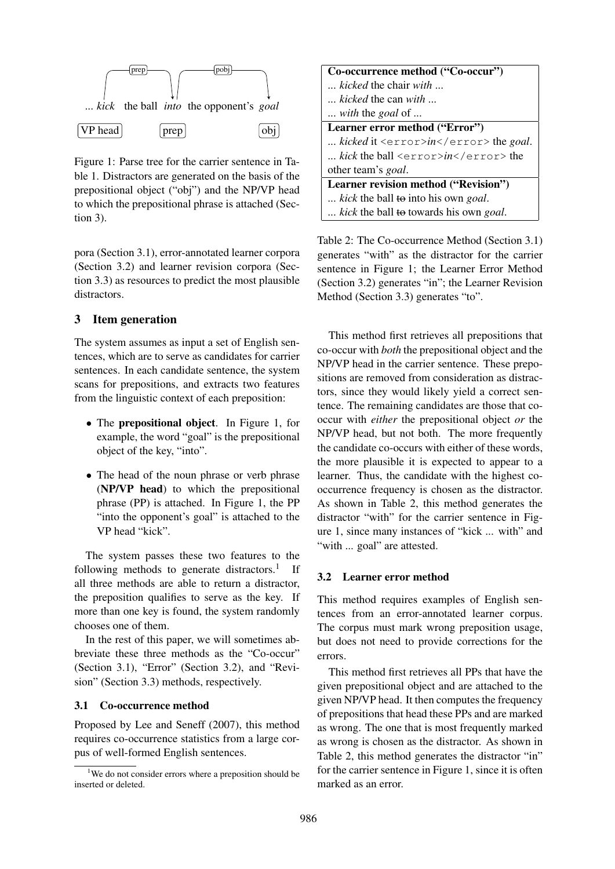

Figure 1: Parse tree for the carrier sentence in Table 1. Distractors are generated on the basis of the prepositional object ("obj") and the NP/VP head to which the prepositional phrase is attached (Section 3).

pora (Section 3.1), error-annotated learner corpora (Section 3.2) and learner revision corpora (Section 3.3) as resources to predict the most plausible distractors.

# 3 Item generation

The system assumes as input a set of English sentences, which are to serve as candidates for carrier sentences. In each candidate sentence, the system scans for prepositions, and extracts two features from the linguistic context of each preposition:

- The prepositional object. In Figure 1, for example, the word "goal" is the prepositional object of the key, "into".
- The head of the noun phrase or verb phrase (NP/VP head) to which the prepositional phrase (PP) is attached. In Figure 1, the PP "into the opponent's goal" is attached to the VP head "kick".

The system passes these two features to the following methods to generate distractors.<sup>1</sup> If all three methods are able to return a distractor, the preposition qualifies to serve as the key. If more than one key is found, the system randomly chooses one of them.

In the rest of this paper, we will sometimes abbreviate these three methods as the "Co-occur" (Section 3.1), "Error" (Section 3.2), and "Revision" (Section 3.3) methods, respectively.

### 3.1 Co-occurrence method

Proposed by Lee and Seneff (2007), this method requires co-occurrence statistics from a large corpus of well-formed English sentences.

| Co-occurrence method ("Co-occur")              |
|------------------------------------------------|
| <i>kicked</i> the chair <i>with</i>            |
| kicked the can with                            |
| with the goal of                               |
| Learner error method ("Error")                 |
| kicked it <error>in</error> the goal.          |
| kick the ball <error>in</error> the            |
| other team's <i>goal</i> .                     |
| Learner revision method ("Revision")           |
| kick the ball to into his own goal.            |
| kick the ball to towards his own <i>goal</i> . |

Table 2: The Co-occurrence Method (Section 3.1) generates "with" as the distractor for the carrier sentence in Figure 1; the Learner Error Method (Section 3.2) generates "in"; the Learner Revision Method (Section 3.3) generates "to".

This method first retrieves all prepositions that co-occur with *both* the prepositional object and the NP/VP head in the carrier sentence. These prepositions are removed from consideration as distractors, since they would likely yield a correct sentence. The remaining candidates are those that cooccur with *either* the prepositional object *or* the NP/VP head, but not both. The more frequently the candidate co-occurs with either of these words, the more plausible it is expected to appear to a learner. Thus, the candidate with the highest cooccurrence frequency is chosen as the distractor. As shown in Table 2, this method generates the distractor "with" for the carrier sentence in Figure 1, since many instances of "kick ... with" and "with ... goal" are attested.

## 3.2 Learner error method

This method requires examples of English sentences from an error-annotated learner corpus. The corpus must mark wrong preposition usage, but does not need to provide corrections for the errors.

This method first retrieves all PPs that have the given prepositional object and are attached to the given NP/VP head. It then computes the frequency of prepositions that head these PPs and are marked as wrong. The one that is most frequently marked as wrong is chosen as the distractor. As shown in Table 2, this method generates the distractor "in" for the carrier sentence in Figure 1, since it is often marked as an error.

<sup>&</sup>lt;sup>1</sup>We do not consider errors where a preposition should be inserted or deleted.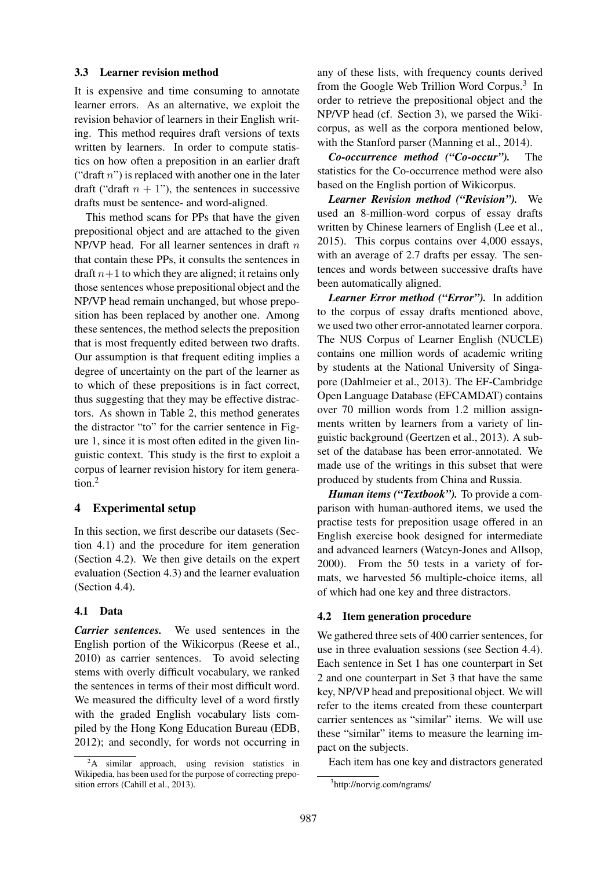### 3.3 Learner revision method

It is expensive and time consuming to annotate learner errors. As an alternative, we exploit the revision behavior of learners in their English writing. This method requires draft versions of texts written by learners. In order to compute statistics on how often a preposition in an earlier draft ("draft  $n$ ") is replaced with another one in the later draft ("draft  $n + 1$ "), the sentences in successive drafts must be sentence- and word-aligned.

This method scans for PPs that have the given prepositional object and are attached to the given NP/VP head. For all learner sentences in draft  $n$ that contain these PPs, it consults the sentences in draft  $n+1$  to which they are aligned; it retains only those sentences whose prepositional object and the NP/VP head remain unchanged, but whose preposition has been replaced by another one. Among these sentences, the method selects the preposition that is most frequently edited between two drafts. Our assumption is that frequent editing implies a degree of uncertainty on the part of the learner as to which of these prepositions is in fact correct, thus suggesting that they may be effective distractors. As shown in Table 2, this method generates the distractor "to" for the carrier sentence in Figure 1, since it is most often edited in the given linguistic context. This study is the first to exploit a corpus of learner revision history for item generation.<sup>2</sup>

# 4 Experimental setup

In this section, we first describe our datasets (Section 4.1) and the procedure for item generation (Section 4.2). We then give details on the expert evaluation (Section 4.3) and the learner evaluation (Section 4.4).

## 4.1 Data

*Carrier sentences.* We used sentences in the English portion of the Wikicorpus (Reese et al., 2010) as carrier sentences. To avoid selecting stems with overly difficult vocabulary, we ranked the sentences in terms of their most difficult word. We measured the difficulty level of a word firstly with the graded English vocabulary lists compiled by the Hong Kong Education Bureau (EDB, 2012); and secondly, for words not occurring in

any of these lists, with frequency counts derived from the Google Web Trillion Word Corpus.<sup>3</sup> In order to retrieve the prepositional object and the NP/VP head (cf. Section 3), we parsed the Wikicorpus, as well as the corpora mentioned below, with the Stanford parser (Manning et al., 2014).

*Co-occurrence method ("Co-occur").* The statistics for the Co-occurrence method were also based on the English portion of Wikicorpus.

*Learner Revision method ("Revision").* We used an 8-million-word corpus of essay drafts written by Chinese learners of English (Lee et al., 2015). This corpus contains over 4,000 essays, with an average of 2.7 drafts per essay. The sentences and words between successive drafts have been automatically aligned.

*Learner Error method ("Error").* In addition to the corpus of essay drafts mentioned above, we used two other error-annotated learner corpora. The NUS Corpus of Learner English (NUCLE) contains one million words of academic writing by students at the National University of Singapore (Dahlmeier et al., 2013). The EF-Cambridge Open Language Database (EFCAMDAT) contains over 70 million words from 1.2 million assignments written by learners from a variety of linguistic background (Geertzen et al., 2013). A subset of the database has been error-annotated. We made use of the writings in this subset that were produced by students from China and Russia.

*Human items ("Textbook").* To provide a comparison with human-authored items, we used the practise tests for preposition usage offered in an English exercise book designed for intermediate and advanced learners (Watcyn-Jones and Allsop, 2000). From the 50 tests in a variety of formats, we harvested 56 multiple-choice items, all of which had one key and three distractors.

## 4.2 Item generation procedure

We gathered three sets of 400 carrier sentences, for use in three evaluation sessions (see Section 4.4). Each sentence in Set 1 has one counterpart in Set 2 and one counterpart in Set 3 that have the same key, NP/VP head and prepositional object. We will refer to the items created from these counterpart carrier sentences as "similar" items. We will use these "similar" items to measure the learning impact on the subjects.

Each item has one key and distractors generated

<sup>&</sup>lt;sup>2</sup>A similar approach, using revision statistics in Wikipedia, has been used for the purpose of correcting preposition errors (Cahill et al., 2013).

<sup>3</sup> http://norvig.com/ngrams/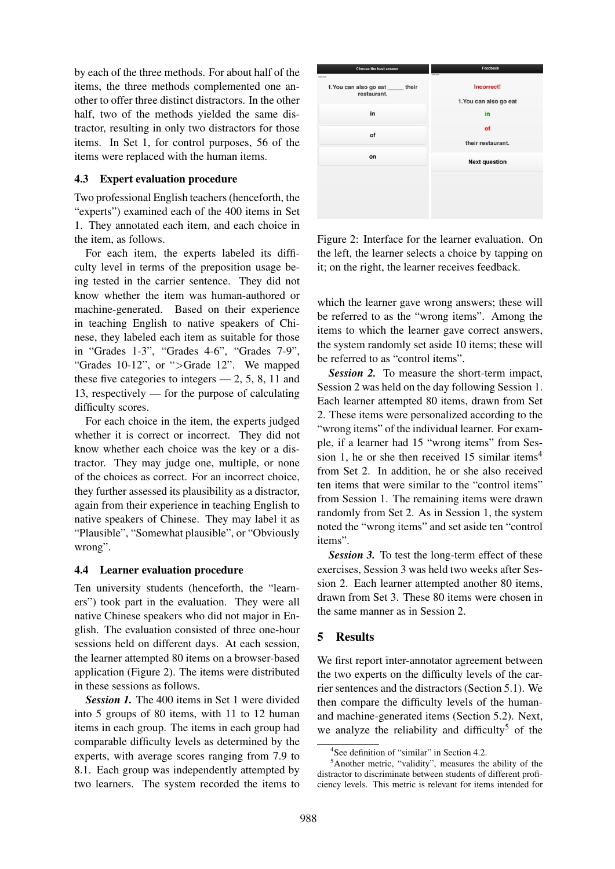by each of the three methods. For about half of the items, the three methods complemented one another to offer three distinct distractors. In the other half, two of the methods yielded the same distractor, resulting in only two distractors for those items. In Set 1, for control purposes, 56 of the items were replaced with the human items.

# 4.3 Expert evaluation procedure

Two professional English teachers (henceforth, the "experts") examined each of the 400 items in Set 1. They annotated each item, and each choice in the item, as follows.

For each item, the experts labeled its difficulty level in terms of the preposition usage being tested in the carrier sentence. They did not know whether the item was human-authored or machine-generated. Based on their experience in teaching English to native speakers of Chinese, they labeled each item as suitable for those in "Grades 1-3", "Grades 4-6", "Grades 7-9", "Grades 10-12", or ">Grade 12". We mapped these five categories to integers  $-2$ , 5, 8, 11 and 13, respectively — for the purpose of calculating difficulty scores.

For each choice in the item, the experts judged whether it is correct or incorrect. They did not know whether each choice was the key or a distractor. They may judge one, multiple, or none of the choices as correct. For an incorrect choice, they further assessed its plausibility as a distractor, again from their experience in teaching English to native speakers of Chinese. They may label it as "Plausible", "Somewhat plausible", or "Obviously wrong".

### 4.4 Learner evaluation procedure

Ten university students (henceforth, the "learners") took part in the evaluation. They were all native Chinese speakers who did not major in English. The evaluation consisted of three one-hour sessions held on different days. At each session, the learner attempted 80 items on a browser-based application (Figure 2). The items were distributed in these sessions as follows.

*Session 1.* The 400 items in Set 1 were divided into 5 groups of 80 items, with 11 to 12 human items in each group. The items in each group had comparable difficulty levels as determined by the experts, with average scores ranging from 7.9 to 8.1. Each group was independently attempted by two learners. The system recorded the items to



Figure 2: Interface for the learner evaluation. On the left, the learner selects a choice by tapping on it; on the right, the learner receives feedback.

which the learner gave wrong answers; these will be referred to as the "wrong items". Among the items to which the learner gave correct answers, the system randomly set aside 10 items; these will be referred to as "control items".

*Session 2.* To measure the short-term impact, Session 2 was held on the day following Session 1. Each learner attempted 80 items, drawn from Set 2. These items were personalized according to the "wrong items" of the individual learner. For example, if a learner had 15 "wrong items" from Session 1, he or she then received 15 similar items<sup>4</sup> from Set 2. In addition, he or she also received ten items that were similar to the "control items" from Session 1. The remaining items were drawn randomly from Set 2. As in Session 1, the system noted the "wrong items" and set aside ten "control items".

**Session 3.** To test the long-term effect of these exercises, Session 3 was held two weeks after Session 2. Each learner attempted another 80 items, drawn from Set 3. These 80 items were chosen in the same manner as in Session 2.

# 5 Results

We first report inter-annotator agreement between the two experts on the difficulty levels of the carrier sentences and the distractors (Section 5.1). We then compare the difficulty levels of the humanand machine-generated items (Section 5.2). Next, we analyze the reliability and difficulty<sup>5</sup> of the

<sup>4</sup> See definition of "similar" in Section 4.2.

<sup>5</sup>Another metric, "validity", measures the ability of the distractor to discriminate between students of different proficiency levels. This metric is relevant for items intended for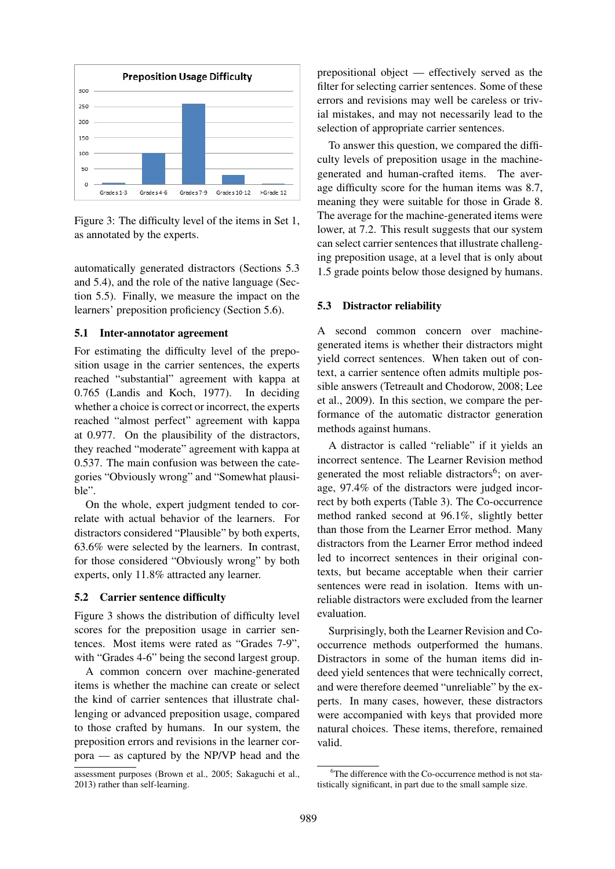

Figure 3: The difficulty level of the items in Set 1, as annotated by the experts.

automatically generated distractors (Sections 5.3 and 5.4), and the role of the native language (Section 5.5). Finally, we measure the impact on the learners' preposition proficiency (Section 5.6).

## 5.1 Inter-annotator agreement

For estimating the difficulty level of the preposition usage in the carrier sentences, the experts reached "substantial" agreement with kappa at 0.765 (Landis and Koch, 1977). In deciding whether a choice is correct or incorrect, the experts reached "almost perfect" agreement with kappa at 0.977. On the plausibility of the distractors, they reached "moderate" agreement with kappa at 0.537. The main confusion was between the categories "Obviously wrong" and "Somewhat plausible".

On the whole, expert judgment tended to correlate with actual behavior of the learners. For distractors considered "Plausible" by both experts, 63.6% were selected by the learners. In contrast, for those considered "Obviously wrong" by both experts, only 11.8% attracted any learner.

### 5.2 Carrier sentence difficulty

Figure 3 shows the distribution of difficulty level scores for the preposition usage in carrier sentences. Most items were rated as "Grades 7-9", with "Grades 4-6" being the second largest group.

A common concern over machine-generated items is whether the machine can create or select the kind of carrier sentences that illustrate challenging or advanced preposition usage, compared to those crafted by humans. In our system, the preposition errors and revisions in the learner corpora — as captured by the NP/VP head and the prepositional object — effectively served as the filter for selecting carrier sentences. Some of these errors and revisions may well be careless or trivial mistakes, and may not necessarily lead to the selection of appropriate carrier sentences.

To answer this question, we compared the difficulty levels of preposition usage in the machinegenerated and human-crafted items. The average difficulty score for the human items was 8.7, meaning they were suitable for those in Grade 8. The average for the machine-generated items were lower, at 7.2. This result suggests that our system can select carrier sentences that illustrate challenging preposition usage, at a level that is only about 1.5 grade points below those designed by humans.

#### 5.3 Distractor reliability

A second common concern over machinegenerated items is whether their distractors might yield correct sentences. When taken out of context, a carrier sentence often admits multiple possible answers (Tetreault and Chodorow, 2008; Lee et al., 2009). In this section, we compare the performance of the automatic distractor generation methods against humans.

A distractor is called "reliable" if it yields an incorrect sentence. The Learner Revision method generated the most reliable distractors<sup>6</sup>; on average, 97.4% of the distractors were judged incorrect by both experts (Table 3). The Co-occurrence method ranked second at 96.1%, slightly better than those from the Learner Error method. Many distractors from the Learner Error method indeed led to incorrect sentences in their original contexts, but became acceptable when their carrier sentences were read in isolation. Items with unreliable distractors were excluded from the learner evaluation.

Surprisingly, both the Learner Revision and Cooccurrence methods outperformed the humans. Distractors in some of the human items did indeed yield sentences that were technically correct, and were therefore deemed "unreliable" by the experts. In many cases, however, these distractors were accompanied with keys that provided more natural choices. These items, therefore, remained valid.

assessment purposes (Brown et al., 2005; Sakaguchi et al., 2013) rather than self-learning.

 $6$ The difference with the Co-occurrence method is not statistically significant, in part due to the small sample size.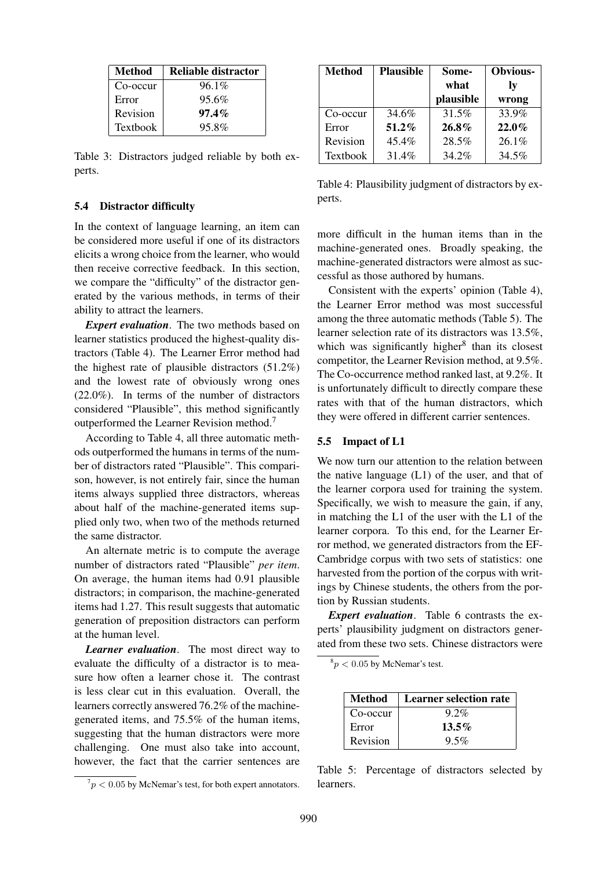| Method          | Reliable distractor |
|-----------------|---------------------|
| Co-occur        | $96.1\%$            |
| Error           | 95.6%               |
| Revision        | $97.4\%$            |
| <b>Textbook</b> | 95.8%               |

Table 3: Distractors judged reliable by both experts.

#### 5.4 Distractor difficulty

In the context of language learning, an item can be considered more useful if one of its distractors elicits a wrong choice from the learner, who would then receive corrective feedback. In this section, we compare the "difficulty" of the distractor generated by the various methods, in terms of their ability to attract the learners.

*Expert evaluation*. The two methods based on learner statistics produced the highest-quality distractors (Table 4). The Learner Error method had the highest rate of plausible distractors (51.2%) and the lowest rate of obviously wrong ones (22.0%). In terms of the number of distractors considered "Plausible", this method significantly outperformed the Learner Revision method.<sup>7</sup>

According to Table 4, all three automatic methods outperformed the humans in terms of the number of distractors rated "Plausible". This comparison, however, is not entirely fair, since the human items always supplied three distractors, whereas about half of the machine-generated items supplied only two, when two of the methods returned the same distractor.

An alternate metric is to compute the average number of distractors rated "Plausible" *per item*. On average, the human items had 0.91 plausible distractors; in comparison, the machine-generated items had 1.27. This result suggests that automatic generation of preposition distractors can perform at the human level.

*Learner evaluation*. The most direct way to evaluate the difficulty of a distractor is to measure how often a learner chose it. The contrast is less clear cut in this evaluation. Overall, the learners correctly answered 76.2% of the machinegenerated items, and 75.5% of the human items, suggesting that the human distractors were more challenging. One must also take into account, however, the fact that the carrier sentences are

| <b>Method</b>   | <b>Plausible</b> | Some-     | <b>Obvious-</b> |
|-----------------|------------------|-----------|-----------------|
|                 |                  | what      | <b>lv</b>       |
|                 |                  | plausible | wrong           |
| Co-occur        | 34.6%            | 31.5%     | 33.9%           |
| Error           | 51.2%            | 26.8%     | $22.0\%$        |
| Revision        | 45.4%            | 28.5%     | $26.1\%$        |
| <b>Textbook</b> | 31.4%            | 34.2%     | 34.5%           |

Table 4: Plausibility judgment of distractors by experts.

more difficult in the human items than in the machine-generated ones. Broadly speaking, the machine-generated distractors were almost as successful as those authored by humans.

Consistent with the experts' opinion (Table 4), the Learner Error method was most successful among the three automatic methods (Table 5). The learner selection rate of its distractors was 13.5%, which was significantly higher<sup>8</sup> than its closest competitor, the Learner Revision method, at 9.5%. The Co-occurrence method ranked last, at 9.2%. It is unfortunately difficult to directly compare these rates with that of the human distractors, which they were offered in different carrier sentences.

#### 5.5 Impact of L1

We now turn our attention to the relation between the native language (L1) of the user, and that of the learner corpora used for training the system. Specifically, we wish to measure the gain, if any, in matching the L1 of the user with the L1 of the learner corpora. To this end, for the Learner Error method, we generated distractors from the EF-Cambridge corpus with two sets of statistics: one harvested from the portion of the corpus with writings by Chinese students, the others from the portion by Russian students.

*Expert evaluation*. Table 6 contrasts the experts' plausibility judgment on distractors generated from these two sets. Chinese distractors were

 ${}^{8}p$  < 0.05 by McNemar's test.

| Method   | Learner selection rate |
|----------|------------------------|
| Co-occur | $9.2\%$                |
| Error    | $13.5\%$               |
| Revision | $9.5\%$                |

Table 5: Percentage of distractors selected by learners.

 $7p < 0.05$  by McNemar's test, for both expert annotators.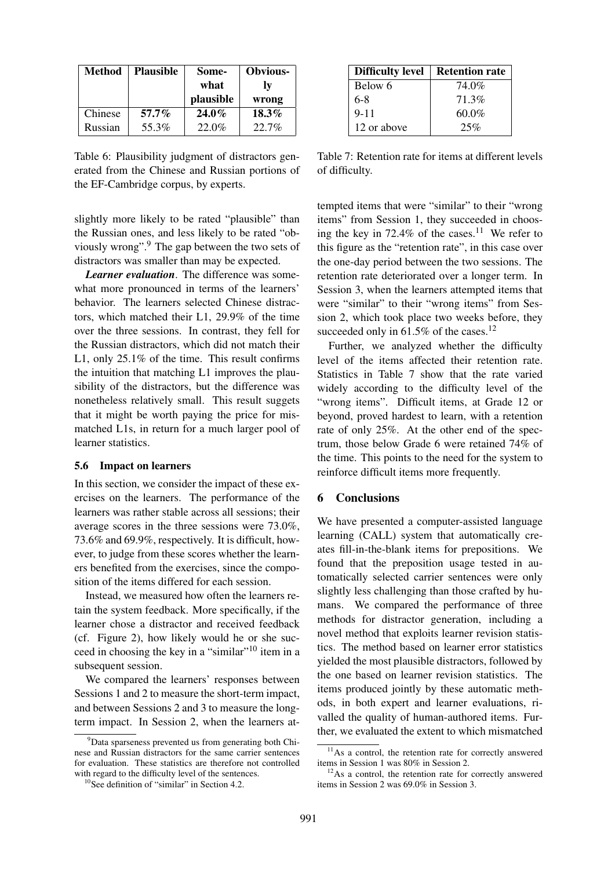| <b>Method</b> | <b>Plausible</b> | Some-<br>what<br>plausible | <b>Obvious-</b><br>lv<br>wrong |
|---------------|------------------|----------------------------|--------------------------------|
| Chinese       | $57.7\%$         | $24.0\%$                   | $18.3\%$                       |
| Russian       | 55.3%            | 22.0%                      | 22.7%                          |

Table 6: Plausibility judgment of distractors generated from the Chinese and Russian portions of the EF-Cambridge corpus, by experts.

slightly more likely to be rated "plausible" than the Russian ones, and less likely to be rated "obviously wrong".<sup>9</sup> The gap between the two sets of distractors was smaller than may be expected.

*Learner evaluation*. The difference was somewhat more pronounced in terms of the learners' behavior. The learners selected Chinese distractors, which matched their L1, 29.9% of the time over the three sessions. In contrast, they fell for the Russian distractors, which did not match their L1, only 25.1% of the time. This result confirms the intuition that matching L1 improves the plausibility of the distractors, but the difference was nonetheless relatively small. This result suggets that it might be worth paying the price for mismatched L1s, in return for a much larger pool of learner statistics.

#### 5.6 Impact on learners

In this section, we consider the impact of these exercises on the learners. The performance of the learners was rather stable across all sessions; their average scores in the three sessions were 73.0%, 73.6% and 69.9%, respectively. It is difficult, however, to judge from these scores whether the learners benefited from the exercises, since the composition of the items differed for each session.

Instead, we measured how often the learners retain the system feedback. More specifically, if the learner chose a distractor and received feedback (cf. Figure 2), how likely would he or she succeed in choosing the key in a "similar"<sup>10</sup> item in a subsequent session.

We compared the learners' responses between Sessions 1 and 2 to measure the short-term impact, and between Sessions 2 and 3 to measure the longterm impact. In Session 2, when the learners at-

| <b>Difficulty level</b> | <b>Retention rate</b> |
|-------------------------|-----------------------|
| Below 6                 | 74.0%                 |
| $6-8$                   | 71.3%                 |
| $9 - 11$                | $60.0\%$              |
| 12 or above             | 25%                   |

Table 7: Retention rate for items at different levels of difficulty.

tempted items that were "similar" to their "wrong items" from Session 1, they succeeded in choosing the key in 72.4% of the cases.<sup>11</sup> We refer to this figure as the "retention rate", in this case over the one-day period between the two sessions. The retention rate deteriorated over a longer term. In Session 3, when the learners attempted items that were "similar" to their "wrong items" from Session 2, which took place two weeks before, they succeeded only in  $61.5\%$  of the cases.<sup>12</sup>

Further, we analyzed whether the difficulty level of the items affected their retention rate. Statistics in Table 7 show that the rate varied widely according to the difficulty level of the "wrong items". Difficult items, at Grade 12 or beyond, proved hardest to learn, with a retention rate of only 25%. At the other end of the spectrum, those below Grade 6 were retained 74% of the time. This points to the need for the system to reinforce difficult items more frequently.

#### 6 Conclusions

We have presented a computer-assisted language learning (CALL) system that automatically creates fill-in-the-blank items for prepositions. We found that the preposition usage tested in automatically selected carrier sentences were only slightly less challenging than those crafted by humans. We compared the performance of three methods for distractor generation, including a novel method that exploits learner revision statistics. The method based on learner error statistics yielded the most plausible distractors, followed by the one based on learner revision statistics. The items produced jointly by these automatic methods, in both expert and learner evaluations, rivalled the quality of human-authored items. Further, we evaluated the extent to which mismatched

 $9^9$ Data sparseness prevented us from generating both Chinese and Russian distractors for the same carrier sentences for evaluation. These statistics are therefore not controlled with regard to the difficulty level of the sentences.

<sup>&</sup>lt;sup>10</sup>See definition of "similar" in Section 4.2.

 $11\text{As}$  a control, the retention rate for correctly answered items in Session 1 was 80% in Session 2.

 $12\text{As}$  a control, the retention rate for correctly answered items in Session 2 was 69.0% in Session 3.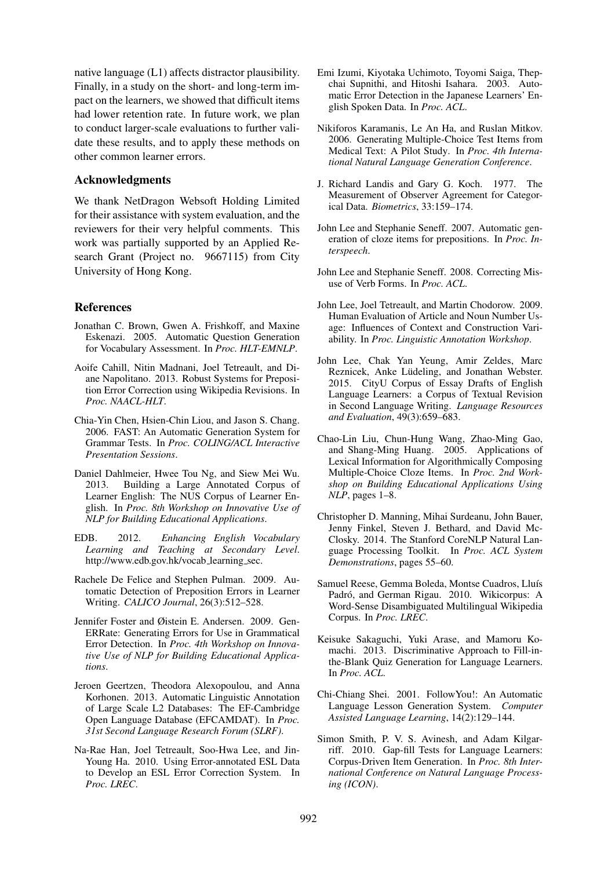native language (L1) affects distractor plausibility. Finally, in a study on the short- and long-term impact on the learners, we showed that difficult items had lower retention rate. In future work, we plan to conduct larger-scale evaluations to further validate these results, and to apply these methods on other common learner errors.

# Acknowledgments

We thank NetDragon Websoft Holding Limited for their assistance with system evaluation, and the reviewers for their very helpful comments. This work was partially supported by an Applied Research Grant (Project no. 9667115) from City University of Hong Kong.

# References

- Jonathan C. Brown, Gwen A. Frishkoff, and Maxine Eskenazi. 2005. Automatic Question Generation for Vocabulary Assessment. In *Proc. HLT-EMNLP*.
- Aoife Cahill, Nitin Madnani, Joel Tetreault, and Diane Napolitano. 2013. Robust Systems for Preposition Error Correction using Wikipedia Revisions. In *Proc. NAACL-HLT*.
- Chia-Yin Chen, Hsien-Chin Liou, and Jason S. Chang. 2006. FAST: An Automatic Generation System for Grammar Tests. In *Proc. COLING/ACL Interactive Presentation Sessions*.
- Daniel Dahlmeier, Hwee Tou Ng, and Siew Mei Wu. 2013. Building a Large Annotated Corpus of Learner English: The NUS Corpus of Learner English. In *Proc. 8th Workshop on Innovative Use of NLP for Building Educational Applications*.
- EDB. 2012. *Enhancing English Vocabulary Learning and Teaching at Secondary Level*. http://www.edb.gov.hk/vocab\_learning\_sec.
- Rachele De Felice and Stephen Pulman. 2009. Automatic Detection of Preposition Errors in Learner Writing. *CALICO Journal*, 26(3):512–528.
- Jennifer Foster and Øistein E. Andersen. 2009. Gen-ERRate: Generating Errors for Use in Grammatical Error Detection. In *Proc. 4th Workshop on Innovative Use of NLP for Building Educational Applications*.
- Jeroen Geertzen, Theodora Alexopoulou, and Anna Korhonen. 2013. Automatic Linguistic Annotation of Large Scale L2 Databases: The EF-Cambridge Open Language Database (EFCAMDAT). In *Proc. 31st Second Language Research Forum (SLRF)*.
- Na-Rae Han, Joel Tetreault, Soo-Hwa Lee, and Jin-Young Ha. 2010. Using Error-annotated ESL Data to Develop an ESL Error Correction System. In *Proc. LREC*.
- Emi Izumi, Kiyotaka Uchimoto, Toyomi Saiga, Thepchai Supnithi, and Hitoshi Isahara. 2003. Automatic Error Detection in the Japanese Learners' English Spoken Data. In *Proc. ACL*.
- Nikiforos Karamanis, Le An Ha, and Ruslan Mitkov. 2006. Generating Multiple-Choice Test Items from Medical Text: A Pilot Study. In *Proc. 4th International Natural Language Generation Conference*.
- J. Richard Landis and Gary G. Koch. 1977. The Measurement of Observer Agreement for Categorical Data. *Biometrics*, 33:159–174.
- John Lee and Stephanie Seneff. 2007. Automatic generation of cloze items for prepositions. In *Proc. Interspeech*.
- John Lee and Stephanie Seneff. 2008. Correcting Misuse of Verb Forms. In *Proc. ACL*.
- John Lee, Joel Tetreault, and Martin Chodorow. 2009. Human Evaluation of Article and Noun Number Usage: Influences of Context and Construction Variability. In *Proc. Linguistic Annotation Workshop*.
- John Lee, Chak Yan Yeung, Amir Zeldes, Marc Reznicek, Anke Lüdeling, and Jonathan Webster. 2015. CityU Corpus of Essay Drafts of English Language Learners: a Corpus of Textual Revision in Second Language Writing. *Language Resources and Evaluation*, 49(3):659–683.
- Chao-Lin Liu, Chun-Hung Wang, Zhao-Ming Gao, and Shang-Ming Huang. 2005. Applications of Lexical Information for Algorithmically Composing Multiple-Choice Cloze Items. In *Proc. 2nd Workshop on Building Educational Applications Using NLP*, pages 1–8.
- Christopher D. Manning, Mihai Surdeanu, John Bauer, Jenny Finkel, Steven J. Bethard, and David Mc-Closky. 2014. The Stanford CoreNLP Natural Language Processing Toolkit. In *Proc. ACL System Demonstrations*, pages 55–60.
- Samuel Reese, Gemma Boleda, Montse Cuadros, Lluís Padró, and German Rigau. 2010. Wikicorpus: A Word-Sense Disambiguated Multilingual Wikipedia Corpus. In *Proc. LREC*.
- Keisuke Sakaguchi, Yuki Arase, and Mamoru Komachi. 2013. Discriminative Approach to Fill-inthe-Blank Quiz Generation for Language Learners. In *Proc. ACL*.
- Chi-Chiang Shei. 2001. FollowYou!: An Automatic Language Lesson Generation System. *Computer Assisted Language Learning*, 14(2):129–144.
- Simon Smith, P. V. S. Avinesh, and Adam Kilgarriff. 2010. Gap-fill Tests for Language Learners: Corpus-Driven Item Generation. In *Proc. 8th International Conference on Natural Language Processing (ICON)*.